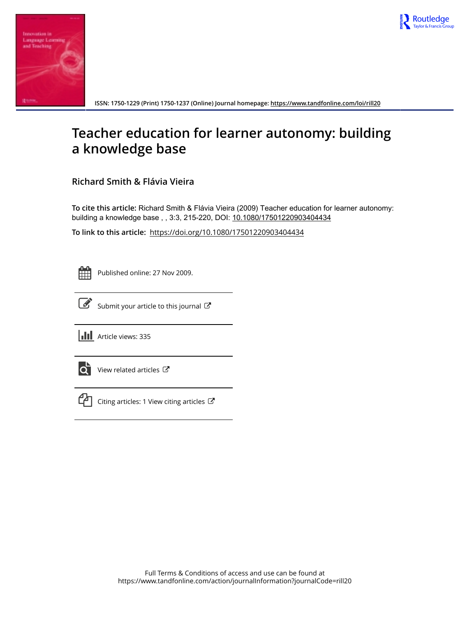



**ISSN: 1750-1229 (Print) 1750-1237 (Online) Journal homepage:<https://www.tandfonline.com/loi/rill20>**

# **Teacher education for learner autonomy: building a knowledge base**

**Richard Smith & Flávia Vieira**

**To cite this article:** Richard Smith & Flávia Vieira (2009) Teacher education for learner autonomy: building a knowledge base, , 3:3, 215-220, DOI: [10.1080/17501220903404434](https://www.tandfonline.com/action/showCitFormats?doi=10.1080/17501220903404434)

**To link to this article:** <https://doi.org/10.1080/17501220903404434>

Published online: 27 Nov 2009.



[Submit your article to this journal](https://www.tandfonline.com/action/authorSubmission?journalCode=rill20&show=instructions)  $\mathbb{Z}$ 

**III** Article views: 335



 $\overrightarrow{Q}$  [View related articles](https://www.tandfonline.com/doi/mlt/10.1080/17501220903404434)  $\overrightarrow{C}$ 



 $\Box$  [Citing articles: 1 View citing articles](https://www.tandfonline.com/doi/citedby/10.1080/17501220903404434#tabModule)  $\Box$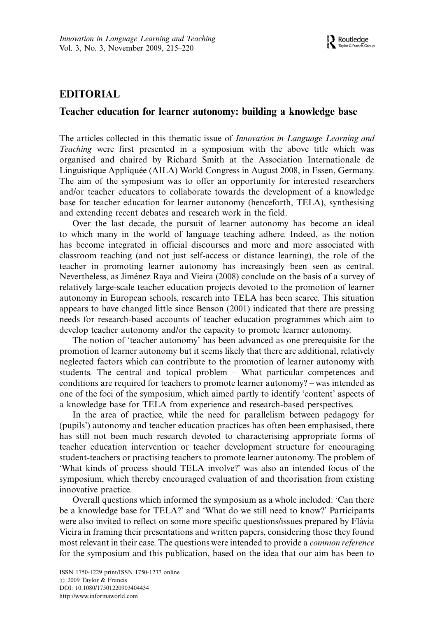## EDITORIAL

#### Teacher education for learner autonomy: building a knowledge base

The articles collected in this thematic issue of Innovation in Language Learning and Teaching were first presented in a symposium with the above title which was organised and chaired by Richard Smith at the Association Internationale de Linguistique Applique´e (AILA) World Congress in August 2008, in Essen, Germany. The aim of the symposium was to offer an opportunity for interested researchers and/or teacher educators to collaborate towards the development of a knowledge base for teacher education for learner autonomy (henceforth, TELA), synthesising and extending recent debates and research work in the field.

Over the last decade, the pursuit of learner autonomy has become an ideal to which many in the world of language teaching adhere. Indeed, as the notion has become integrated in official discourses and more and more associated with classroom teaching (and not just self-access or distance learning), the role of the teacher in promoting learner autonomy has increasingly been seen as central. Nevertheless, as Jiménez Raya and Vieira (2008) conclude on the basis of a survey of relatively large-scale teacher education projects devoted to the promotion of learner autonomy in European schools, research into TELA has been scarce. This situation appears to have changed little since Benson (2001) indicated that there are pressing needs for research-based accounts of teacher education programmes which aim to develop teacher autonomy and/or the capacity to promote learner autonomy.

The notion of 'teacher autonomy' has been advanced as one prerequisite for the promotion of learner autonomy but it seems likely that there are additional, relatively neglected factors which can contribute to the promotion of learner autonomy with students. The central and topical problem What particular competences and conditions are required for teachers to promote learner autonomy? – was intended as one of the foci of the symposium, which aimed partly to identify 'content' aspects of a knowledge base for TELA from experience and research-based perspectives.

In the area of practice, while the need for parallelism between pedagogy for (pupils') autonomy and teacher education practices has often been emphasised, there has still not been much research devoted to characterising appropriate forms of teacher education intervention or teacher development structure for encouraging student-teachers or practising teachers to promote learner autonomy. The problem of 'What kinds of process should TELA involve?' was also an intended focus of the symposium, which thereby encouraged evaluation of and theorisation from existing innovative practice.

Overall questions which informed the symposium as a whole included: 'Can there be a knowledge base for TELA?' and 'What do we still need to know?' Participants were also invited to reflect on some more specific questions/issues prepared by Flávia Vieira in framing their presentations and written papers, considering those they found most relevant in their case. The questions were intended to provide a common reference for the symposium and this publication, based on the idea that our aim has been to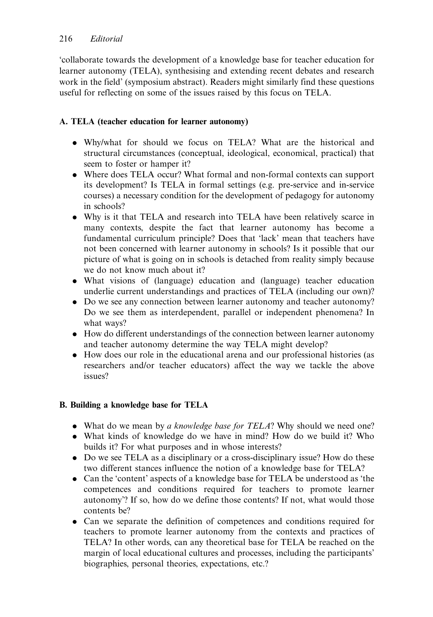'collaborate towards the development of a knowledge base for teacher education for learner autonomy (TELA), synthesising and extending recent debates and research work in the field' (symposium abstract). Readers might similarly find these questions useful for reflecting on some of the issues raised by this focus on TELA.

### A. TELA (teacher education for learner autonomy)

- . Why/what for should we focus on TELA? What are the historical and structural circumstances (conceptual, ideological, economical, practical) that seem to foster or hamper it?
- . Where does TELA occur? What formal and non-formal contexts can support its development? Is TELA in formal settings (e.g. pre-service and in-service courses) a necessary condition for the development of pedagogy for autonomy in schools?
- . Why is it that TELA and research into TELA have been relatively scarce in many contexts, despite the fact that learner autonomy has become a fundamental curriculum principle? Does that 'lack' mean that teachers have not been concerned with learner autonomy in schools? Is it possible that our picture of what is going on in schools is detached from reality simply because we do not know much about it?
- . What visions of (language) education and (language) teacher education underlie current understandings and practices of TELA (including our own)?
- . Do we see any connection between learner autonomy and teacher autonomy? Do we see them as interdependent, parallel or independent phenomena? In what ways?
- . How do different understandings of the connection between learner autonomy and teacher autonomy determine the way TELA might develop?
- . How does our role in the educational arena and our professional histories (as researchers and/or teacher educators) affect the way we tackle the above issues?

#### B. Building a knowledge base for TELA

- What do we mean by a knowledge base for TELA? Why should we need one?
- . What kinds of knowledge do we have in mind? How do we build it? Who builds it? For what purposes and in whose interests?
- . Do we see TELA as a disciplinary or a cross-disciplinary issue? How do these two different stances influence the notion of a knowledge base for TELA?
- . Can the 'content' aspects of a knowledge base for TELA be understood as 'the competences and conditions required for teachers to promote learner autonomy'? If so, how do we define those contents? If not, what would those contents be?
- . Can we separate the definition of competences and conditions required for teachers to promote learner autonomy from the contexts and practices of TELA? In other words, can any theoretical base for TELA be reached on the margin of local educational cultures and processes, including the participants' biographies, personal theories, expectations, etc.?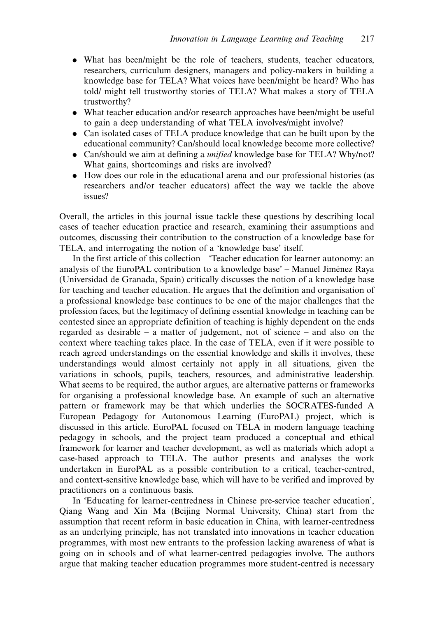- . What has been/might be the role of teachers, students, teacher educators, researchers, curriculum designers, managers and policy-makers in building a knowledge base for TELA? What voices have been/might be heard? Who has told/ might tell trustworthy stories of TELA? What makes a story of TELA trustworthy?
- . What teacher education and/or research approaches have been/might be useful to gain a deep understanding of what TELA involves/might involve?
- . Can isolated cases of TELA produce knowledge that can be built upon by the educational community? Can/should local knowledge become more collective?
- . Can/should we aim at defining a unified knowledge base for TELA? Why/not? What gains, shortcomings and risks are involved?
- . How does our role in the educational arena and our professional histories (as researchers and/or teacher educators) affect the way we tackle the above issues?

Overall, the articles in this journal issue tackle these questions by describing local cases of teacher education practice and research, examining their assumptions and outcomes, discussing their contribution to the construction of a knowledge base for TELA, and interrogating the notion of a 'knowledge base' itself.

In the first article of this collection – 'Teacher education for learner autonomy: an analysis of the EuroPAL contribution to a knowledge base' – Manuel Jiménez Raya (Universidad de Granada, Spain) critically discusses the notion of a knowledge base for teaching and teacher education. He argues that the definition and organisation of a professional knowledge base continues to be one of the major challenges that the profession faces, but the legitimacy of defining essential knowledge in teaching can be contested since an appropriate definition of teaching is highly dependent on the ends regarded as desirable  $-$  a matter of judgement, not of science  $-$  and also on the context where teaching takes place. In the case of TELA, even if it were possible to reach agreed understandings on the essential knowledge and skills it involves, these understandings would almost certainly not apply in all situations, given the variations in schools, pupils, teachers, resources, and administrative leadership. What seems to be required, the author argues, are alternative patterns or frameworks for organising a professional knowledge base. An example of such an alternative pattern or framework may be that which underlies the SOCRATES-funded A European Pedagogy for Autonomous Learning (EuroPAL) project, which is discussed in this article. EuroPAL focused on TELA in modern language teaching pedagogy in schools, and the project team produced a conceptual and ethical framework for learner and teacher development, as well as materials which adopt a case-based approach to TELA. The author presents and analyses the work undertaken in EuroPAL as a possible contribution to a critical, teacher-centred, and context-sensitive knowledge base, which will have to be verified and improved by practitioners on a continuous basis.

In 'Educating for learner-centredness in Chinese pre-service teacher education', Qiang Wang and Xin Ma (Beijing Normal University, China) start from the assumption that recent reform in basic education in China, with learner-centredness as an underlying principle, has not translated into innovations in teacher education programmes, with most new entrants to the profession lacking awareness of what is going on in schools and of what learner-centred pedagogies involve. The authors argue that making teacher education programmes more student-centred is necessary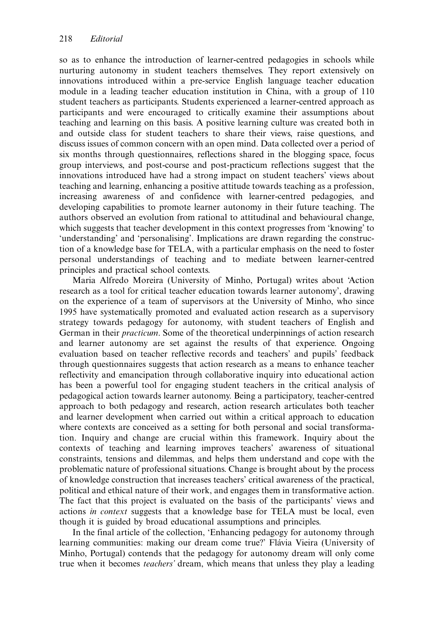so as to enhance the introduction of learner-centred pedagogies in schools while nurturing autonomy in student teachers themselves. They report extensively on innovations introduced within a pre-service English language teacher education module in a leading teacher education institution in China, with a group of 110 student teachers as participants. Students experienced a learner-centred approach as participants and were encouraged to critically examine their assumptions about teaching and learning on this basis. A positive learning culture was created both in and outside class for student teachers to share their views, raise questions, and discuss issues of common concern with an open mind. Data collected over a period of six months through questionnaires, reflections shared in the blogging space, focus group interviews, and post-course and post-practicum reflections suggest that the innovations introduced have had a strong impact on student teachers' views about teaching and learning, enhancing a positive attitude towards teaching as a profession, increasing awareness of and confidence with learner-centred pedagogies, and developing capabilities to promote learner autonomy in their future teaching. The authors observed an evolution from rational to attitudinal and behavioural change, which suggests that teacher development in this context progresses from 'knowing' to 'understanding' and 'personalising'. Implications are drawn regarding the construction of a knowledge base for TELA, with a particular emphasis on the need to foster personal understandings of teaching and to mediate between learner-centred principles and practical school contexts.

Maria Alfredo Moreira (University of Minho, Portugal) writes about 'Action research as a tool for critical teacher education towards learner autonomy', drawing on the experience of a team of supervisors at the University of Minho, who since 1995 have systematically promoted and evaluated action research as a supervisory strategy towards pedagogy for autonomy, with student teachers of English and German in their practicum. Some of the theoretical underpinnings of action research and learner autonomy are set against the results of that experience. Ongoing evaluation based on teacher reflective records and teachers' and pupils' feedback through questionnaires suggests that action research as a means to enhance teacher reflectivity and emancipation through collaborative inquiry into educational action has been a powerful tool for engaging student teachers in the critical analysis of pedagogical action towards learner autonomy. Being a participatory, teacher-centred approach to both pedagogy and research, action research articulates both teacher and learner development when carried out within a critical approach to education where contexts are conceived as a setting for both personal and social transformation. Inquiry and change are crucial within this framework. Inquiry about the contexts of teaching and learning improves teachers' awareness of situational constraints, tensions and dilemmas, and helps them understand and cope with the problematic nature of professional situations. Change is brought about by the process of knowledge construction that increases teachers' critical awareness of the practical, political and ethical nature of their work, and engages them in transformative action. The fact that this project is evaluated on the basis of the participants' views and actions in context suggests that a knowledge base for TELA must be local, even though it is guided by broad educational assumptions and principles.

In the final article of the collection, 'Enhancing pedagogy for autonomy through learning communities: making our dream come true?' Flávia Vieira (University of Minho, Portugal) contends that the pedagogy for autonomy dream will only come true when it becomes teachers' dream, which means that unless they play a leading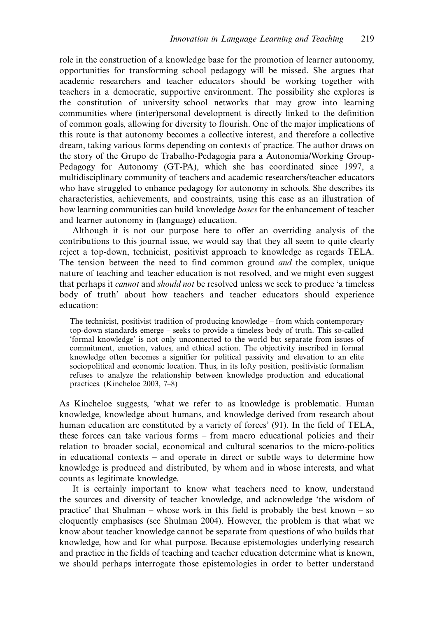role in the construction of a knowledge base for the promotion of learner autonomy, opportunities for transforming school pedagogy will be missed. She argues that academic researchers and teacher educators should be working together with teachers in a democratic, supportive environment. The possibility she explores is the constitution of university-school networks that may grow into learning communities where (inter)personal development is directly linked to the definition of common goals, allowing for diversity to flourish. One of the major implications of this route is that autonomy becomes a collective interest, and therefore a collective dream, taking various forms depending on contexts of practice. The author draws on the story of the Grupo de Trabalho-Pedagogia para a Autonomia/Working Group-Pedagogy for Autonomy (GT-PA), which she has coordinated since 1997, a multidisciplinary community of teachers and academic researchers/teacher educators who have struggled to enhance pedagogy for autonomy in schools. She describes its characteristics, achievements, and constraints, using this case as an illustration of how learning communities can build knowledge *bases* for the enhancement of teacher and learner autonomy in (language) education.

Although it is not our purpose here to offer an overriding analysis of the contributions to this journal issue, we would say that they all seem to quite clearly reject a top-down, technicist, positivist approach to knowledge as regards TELA. The tension between the need to find common ground *and* the complex, unique nature of teaching and teacher education is not resolved, and we might even suggest that perhaps it *cannot* and *should not* be resolved unless we seek to produce 'a timeless body of truth' about how teachers and teacher educators should experience education:

The technicist, positivist tradition of producing knowledge  $-$  from which contemporary top-down standards emerge - seeks to provide a timeless body of truth. This so-called 'formal knowledge' is not only unconnected to the world but separate from issues of commitment, emotion, values, and ethical action. The objectivity inscribed in formal knowledge often becomes a signifier for political passivity and elevation to an elite sociopolitical and economic location. Thus, in its lofty position, positivistic formalism refuses to analyze the relationship between knowledge production and educational practices. (Kincheloe 2003, 7–8)

As Kincheloe suggests, 'what we refer to as knowledge is problematic. Human knowledge, knowledge about humans, and knowledge derived from research about human education are constituted by a variety of forces' (91). In the field of TELA, these forces can take various forms - from macro educational policies and their relation to broader social, economical and cultural scenarios to the micro-politics in educational contexts  $-$  and operate in direct or subtle ways to determine how knowledge is produced and distributed, by whom and in whose interests, and what counts as legitimate knowledge.

It is certainly important to know what teachers need to know, understand the sources and diversity of teacher knowledge, and acknowledge 'the wisdom of practice' that Shulman – whose work in this field is probably the best known – so eloquently emphasises (see Shulman 2004). However, the problem is that what we know about teacher knowledge cannot be separate from questions of who builds that knowledge, how and for what purpose. Because epistemologies underlying research and practice in the fields of teaching and teacher education determine what is known, we should perhaps interrogate those epistemologies in order to better understand